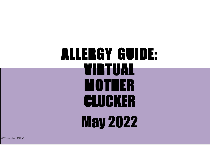## ALLERGY GUIDE: VIRTUAL MOTHER CLUCKER May 2022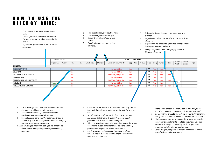## HOW TO USE THE **ALLERGY GUIDE:**

- 1 Find the menu item you would like to order
- 1 *Trova il prodotto che vorresti ordinare*
- 1 Encuentra lo que usted quiere pedir del menú
- 1 *Wybierz pozycje z menu ktora chcialbys zamowic*.
- 2 Find the allergen/s you suffer with
- 2 *Trova l'allergene/i di cui soffri*
- 2 Encuentra la alergia/s de la que sufres.
- 2 Z*najdz alergeny na ktore jestes uczulony*.
- 3 Follow the line of the menu item across tothe allergen
- 3 *Segui la line del prodotto scelto in croce con iltuo allergene*
- 3 Siga la línea del producto que usted a elegidohasta la alergia que usted padezca.
- 3 *Postępuj zgodnie z wierszem pozycji menuw kierunku alergenu*

|                                      | SUITABLE FOR? |        |      |      |             |          | <b>DOES IT CONTAIN?</b>   |     |      |                                   |     |      |      |        |                 |                    |       |
|--------------------------------------|---------------|--------|------|------|-------------|----------|---------------------------|-----|------|-----------------------------------|-----|------|------|--------|-----------------|--------------------|-------|
|                                      | Vegetarians   | Vegans | Milk | Fish | Crustaceans | Molluses | Gluten containing Cereals | Egg | Nuts | Peanuts   Soya   Celery   Mustard |     |      |      | Garlic | Sesame<br>Seeds | Sulphur<br>Dioxide | Lupin |
| <b>BURGERS</b>                       |               |        |      |      |             |          |                           |     |      |                                   |     |      |      |        |                 |                    |       |
| CHICKEN SANDWICH                     |               |        | Yes. |      |             |          | Yes, Wheat & Rye          | Yes |      |                                   | M   | Yes: | Yes  |        |                 |                    |       |
| I CLUCK BUN                          |               |        | Yes. |      |             |          | Yes, Wheat & Rye          | Yes |      |                                   | M   | Yes  | Yes. |        |                 |                    |       |
| <b>CLUCK BUN WITH HOT SAUCE</b>      |               |        | Yes. |      |             |          | Yes, Wheat, Barley & Rye  | Yes |      |                                   | ıй  | Yes  | Yes  | Yes    |                 |                    |       |
| <b>DOUBLE CLUCK</b>                  |               |        | Yes. |      |             |          | Yes, Wheat & Rye          | Yes |      |                                   | W.  | Yes: | Yes  |        |                 |                    |       |
| <b>I DOUBLE CLUCK WITH HOT SAUCE</b> |               |        | Yes. |      |             |          | Yes, Wheat, Barley & Rye  | Yes |      |                                   | NV. | Yes  | Yes  | Yes    |                 |                    |       |
| <b>HALLOUMI</b>                      | Vegetariaz    |        | Yes. |      |             |          | Yes, Wheat & Rye          | Yes |      |                                   | M   | Yes  | Yes. |        |                 |                    |       |
| HALLOUMI VITH HOT SAUCE              | Veget         |        | Yes  |      |             |          | Yes, Wheat, Barley & Rye  | Yes |      |                                   | M   | Yes  | Yes  | Yes    |                 |                    |       |
|                                      |               |        |      |      |             |          |                           |     |      |                                   |     |      |      |        |                 |                    |       |

- 4 If the box says 'yes' the menu item containsthat allergen and will not be safe for you
- 4 *Se il quadrato dice 'si', il prodottocontiene quell'allergene e quindi e' da evitare*
- 4 Si en el cuadro pone 'yes' 'si' quiere decir que el alimento que usted a elegido contiene esaalergia y no sería seguro para consumirlo
- 4 *Jezeli w rubryce napisane jest 'yes' to znaczy, ze danie zawiera dany alergen i nie powinienes go spozywac.*
- 5 If there is an **'M'** in the box, the menu item may contain traces of that allergen, and may not be safe for you to eat
- 5 *Se nel quadrato c'e' una stella, il prodottopotrebbe contenere delle traccie di quell'allergene e quindi potrebbe non essere sicuro da mangiare*
- 5 Si hay un asterisco dentro del recuadro, quiere decir que el alimento puede contener trazas de dicha alergia y puede no ser seguro para usted consumirlo.
- 5 *Jezeli w rubryce jest gwiazdka to znaczy, ze danie zawiera sladowe ilosci danego alergenu wiec nie jest zalecane jego spozycie.*
- 6 If the box is empty, the menu item is safe for you to eat. If you have any questions, ask a member ofstaff
- 6 *Se il quadrato e' vuoto, il prodotto e' sicuro da mangiare. Per qualsiasi domanda, chiedi ad unmembro dello staff*
- 6 Si el recuadro está vacío, quiere decir que ustedpuede consumir dicho alimento con total seguridad ya que no contiene la alergia. Si tiene alguna duda, por favor pregunta a algún miembro del equipo.
- 6 *Jezeli rubryka jest pusta to znaczy, ze nie ma zadnych przeciwskazan odnosnie spozycia.*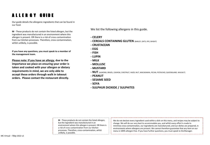## ALLER GY GUIDE

Our guide details the allergenic ingredients that can be found in our food.

**M** - These products do not contain the listed allergen, but the ingredient was manufactured in an environment where this allergen is present. OR there is a risk of cross contamination from our kitchen processes. Therefore, cross-contamination, whilst unlikely, is possible.

**If you have any questions, you must speak to a member of the management team.**

**Please note: If you have an allergy, due to the importance we place on ensuring your order is taken and cooked with your allergen or dietary requirements in mind, we are only able to accept these orders through walk in takeout orders. Please contact the restaurant directly.**

We list the following allergens in this guide.

- **- CELERY**
- **- CEREALS CONTAINING GLUTEN** (BARLEY, OATS, RYE, WHEAT)
- **- CRUSTACEAN**
- **- EGG**
- **- FISH**
- **- LUPIN**
- **- MILK**
- **- MOLLUSC**
- **- MUSTARD**
- **- NUT** (ALMOND, BRAZIL, CASHEW, CHESTNUT, HAZEL NUT, MACADAMIA, PECAN, PISTACHIO, QUEENSLAND, WALNUT)
- **- PEANUT**
- **- SESAME SEED**
- **- SOYA**
- **- SULPHUR DIOXIDE / SULPHITES**

**M** - These products do not contain the listed allergen, but the ingredient was manufactured in an environment where this allergen is present. OR there is a risk of cross contamination from our kitchen processes. Therefore, cross-contamination, whilst unlikely, is possible.

We do not declare every ingredient used within a dish on this menu, and recipes may be subject to change. We will do our very best to accommodate you, and whilst every effort is made to minimise cross-contamination, our ingredients are manufactured, and our dishes are prepared, in environments where allergens are present. We cannot therefore guarantee that any item on our menu is 100% allergen-free. If you have further questions, you must speak to theManager.